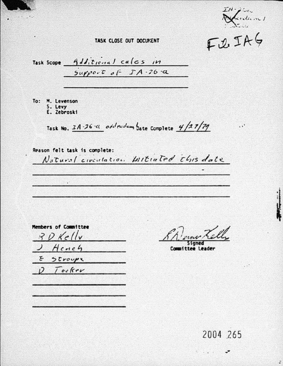$IH -$ Ludian /

 $E.2.IR6$ 

 $\cdot$ .

TASK CLOSE OUT DOCUMENT

Task Scope 4 dl. ticinal calcs in  $Supp0.5$  of  $JA.26.2$ 

To: M. Levenson S. Levy E. Zebroski

Task No.  $2A-26$  ci odd endum bate complete  $4/27/79$ 

Reason felt task is complete: Natural civentation Initiated this date

Members of Committee  $BDE$ Hench Stroups E  $D$  Tooker

Taned

Committee Leader

2004 265

 $\ddot{\phantom{0}}$